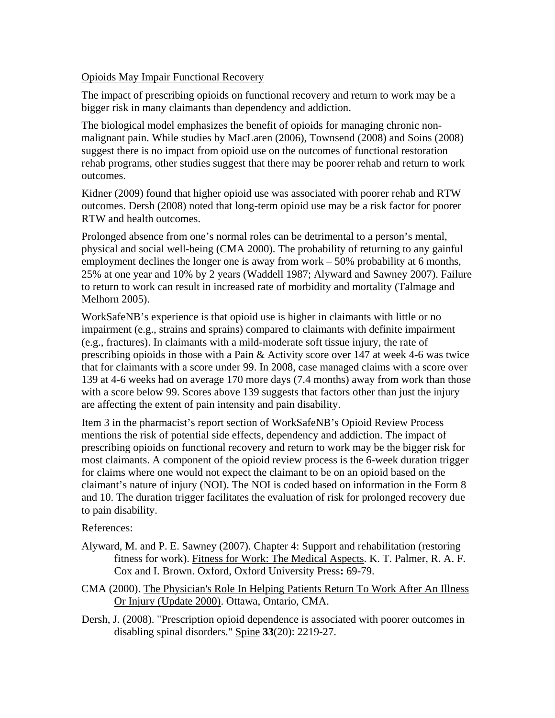## Opioids May Impair Functional Recovery

The impact of prescribing opioids on functional recovery and return to work may be a bigger risk in many claimants than dependency and addiction.

The biological model emphasizes the benefit of opioids for managing chronic nonmalignant pain. While studies by MacLaren (2006), Townsend (2008) and Soins (2008) suggest there is no impact from opioid use on the outcomes of functional restoration rehab programs, other studies suggest that there may be poorer rehab and return to work outcomes.

Kidner (2009) found that higher opioid use was associated with poorer rehab and RTW outcomes. Dersh (2008) noted that long-term opioid use may be a risk factor for poorer RTW and health outcomes.

Prolonged absence from one's normal roles can be detrimental to a person's mental, physical and social well-being (CMA 2000). The probability of returning to any gainful employment declines the longer one is away from work – 50% probability at 6 months, 25% at one year and 10% by 2 years (Waddell 1987; Alyward and Sawney 2007). Failure to return to work can result in increased rate of morbidity and mortality (Talmage and Melhorn 2005).

WorkSafeNB's experience is that opioid use is higher in claimants with little or no impairment (e.g., strains and sprains) compared to claimants with definite impairment (e.g., fractures). In claimants with a mild-moderate soft tissue injury, the rate of prescribing opioids in those with a Pain & Activity score over 147 at week 4-6 was twice that for claimants with a score under 99. In 2008, case managed claims with a score over 139 at 4-6 weeks had on average 170 more days (7.4 months) away from work than those with a score below 99. Scores above 139 suggests that factors other than just the injury are affecting the extent of pain intensity and pain disability.

Item 3 in the pharmacist's report section of WorkSafeNB's Opioid Review Process mentions the risk of potential side effects, dependency and addiction. The impact of prescribing opioids on functional recovery and return to work may be the bigger risk for most claimants. A component of the opioid review process is the 6-week duration trigger for claims where one would not expect the claimant to be on an opioid based on the claimant's nature of injury (NOI). The NOI is coded based on information in the Form 8 and 10. The duration trigger facilitates the evaluation of risk for prolonged recovery due to pain disability.

## References:

- Alyward, M. and P. E. Sawney (2007). Chapter 4: Support and rehabilitation (restoring fitness for work). Fitness for Work: The Medical Aspects. K. T. Palmer, R. A. F. Cox and I. Brown. Oxford, Oxford University Press**:** 69-79.
- CMA (2000). The Physician's Role In Helping Patients Return To Work After An Illness Or Injury (Update 2000). Ottawa, Ontario, CMA.
- Dersh, J. (2008). "Prescription opioid dependence is associated with poorer outcomes in disabling spinal disorders." Spine **33**(20): 2219-27.